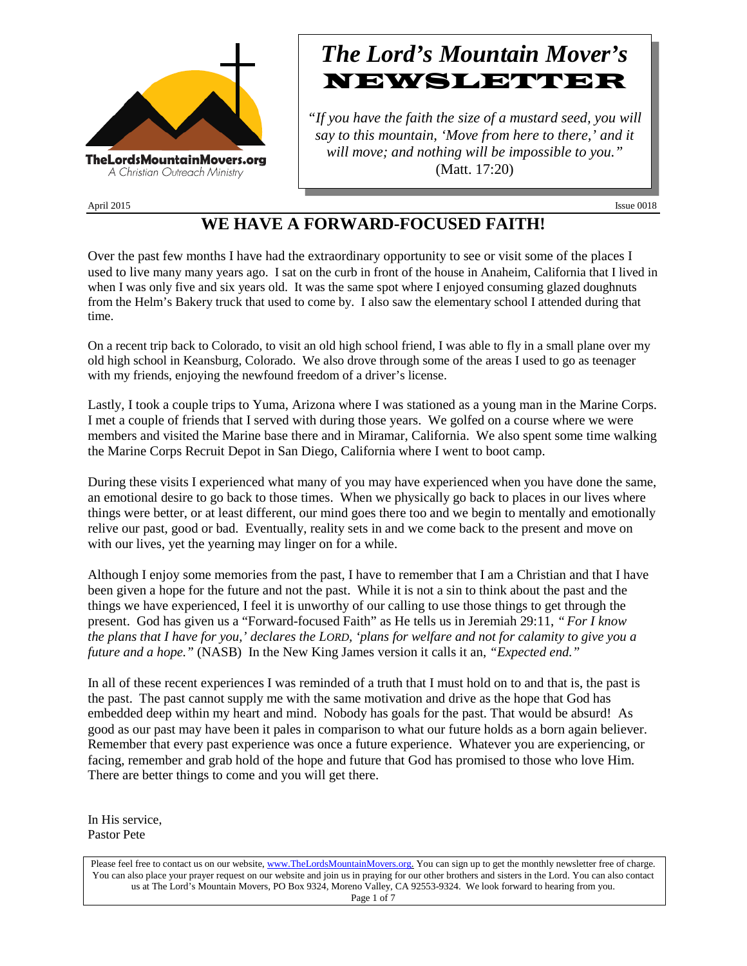

# *The Lord's Mountain Mover's* NEWSLETTER

*"If you have the faith the size of a mustard seed, you will say to this mountain, 'Move from here to there,' and it will move; and nothing will be impossible to you."* (Matt. 17:20)

April 2015 Issue 0018

### **WE HAVE A FORWARD-FOCUSED FAITH!**

Over the past few months I have had the extraordinary opportunity to see or visit some of the places I used to live many many years ago. I sat on the curb in front of the house in Anaheim, California that I lived in when I was only five and six years old. It was the same spot where I enjoyed consuming glazed doughnuts from the Helm's Bakery truck that used to come by. I also saw the elementary school I attended during that time.

On a recent trip back to Colorado, to visit an old high school friend, I was able to fly in a small plane over my old high school in Keansburg, Colorado. We also drove through some of the areas I used to go as teenager with my friends, enjoying the newfound freedom of a driver's license.

Lastly, I took a couple trips to Yuma, Arizona where I was stationed as a young man in the Marine Corps. I met a couple of friends that I served with during those years. We golfed on a course where we were members and visited the Marine base there and in Miramar, California. We also spent some time walking the Marine Corps Recruit Depot in San Diego, California where I went to boot camp.

During these visits I experienced what many of you may have experienced when you have done the same, an emotional desire to go back to those times. When we physically go back to places in our lives where things were better, or at least different, our mind goes there too and we begin to mentally and emotionally relive our past, good or bad. Eventually, reality sets in and we come back to the present and move on with our lives, yet the yearning may linger on for a while.

Although I enjoy some memories from the past, I have to remember that I am a Christian and that I have been given a hope for the future and not the past. While it is not a sin to think about the past and the things we have experienced, I feel it is unworthy of our calling to use those things to get through the present. God has given us a "Forward-focused Faith" as He tells us in Jeremiah 29:11, *"For I know the plans that I have for you,' declares the LORD, 'plans for welfare and not for calamity to give you a future and a hope."* (NASB) In the New King James version it calls it an, *"Expected end."*

In all of these recent experiences I was reminded of a truth that I must hold on to and that is, the past is the past. The past cannot supply me with the same motivation and drive as the hope that God has embedded deep within my heart and mind. Nobody has goals for the past. That would be absurd! As good as our past may have been it pales in comparison to what our future holds as a born again believer. Remember that every past experience was once a future experience. Whatever you are experiencing, or facing, remember and grab hold of the hope and future that God has promised to those who love Him. There are better things to come and you will get there.

In His service, Pastor Pete

Please feel free to contact us on our website, ww[w.TheLordsMountainMovers.o](http://www.thelordsmountainmovers.org/)rg. You can sign up to get the monthly newsletter free of charge. You can also place your prayer request on our website and join us in praying for our other brothers and sisters in the Lord. You can also contact us at The Lord's Mountain Movers, PO Box 9324, Moreno Valley, CA 92553-9324. We look forward to hearing from you. Page 1 of 7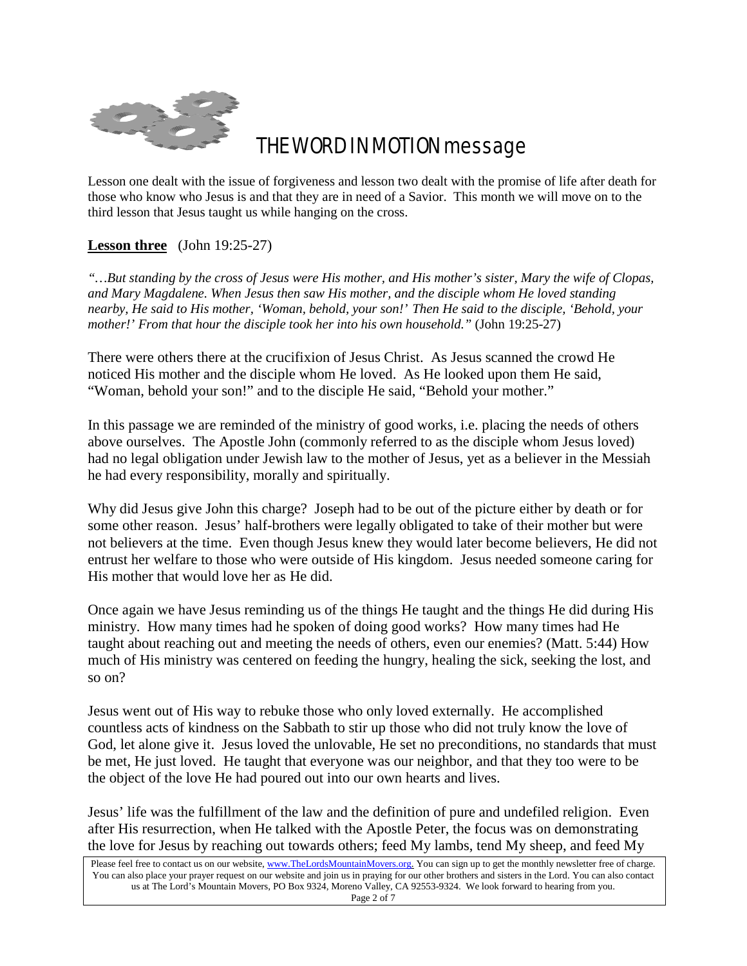

## THE WORD IN MOTION message

Lesson one dealt with the issue of forgiveness and lesson two dealt with the promise of life after death for those who know who Jesus is and that they are in need of a Savior. This month we will move on to the third lesson that Jesus taught us while hanging on the cross.

#### **Lesson three** (John 19:25-27)

*"…But standing by the cross of Jesus were His mother, and His mother's sister, Mary the wife of Clopas, and Mary Magdalene. When Jesus then saw His mother, and the disciple whom He loved standing nearby, He said to His mother, 'Woman, behold, your son!' Then He said to the disciple, 'Behold, your mother!' From that hour the disciple took her into his own household."* (John 19:25-27)

There were others there at the crucifixion of Jesus Christ. As Jesus scanned the crowd He noticed His mother and the disciple whom He loved. As He looked upon them He said, "Woman, behold your son!" and to the disciple He said, "Behold your mother."

In this passage we are reminded of the ministry of good works, i.e. placing the needs of others above ourselves. The Apostle John (commonly referred to as the disciple whom Jesus loved) had no legal obligation under Jewish law to the mother of Jesus, yet as a believer in the Messiah he had every responsibility, morally and spiritually.

Why did Jesus give John this charge? Joseph had to be out of the picture either by death or for some other reason. Jesus' half-brothers were legally obligated to take of their mother but were not believers at the time. Even though Jesus knew they would later become believers, He did not entrust her welfare to those who were outside of His kingdom. Jesus needed someone caring for His mother that would love her as He did.

Once again we have Jesus reminding us of the things He taught and the things He did during His ministry. How many times had he spoken of doing good works? How many times had He taught about reaching out and meeting the needs of others, even our enemies? (Matt. 5:44) How much of His ministry was centered on feeding the hungry, healing the sick, seeking the lost, and so on?

Jesus went out of His way to rebuke those who only loved externally. He accomplished countless acts of kindness on the Sabbath to stir up those who did not truly know the love of God, let alone give it. Jesus loved the unlovable, He set no preconditions, no standards that must be met, He just loved. He taught that everyone was our neighbor, and that they too were to be the object of the love He had poured out into our own hearts and lives.

Jesus' life was the fulfillment of the law and the definition of pure and undefiled religion. Even after His resurrection, when He talked with the Apostle Peter, the focus was on demonstrating the love for Jesus by reaching out towards others; feed My lambs, tend My sheep, and feed My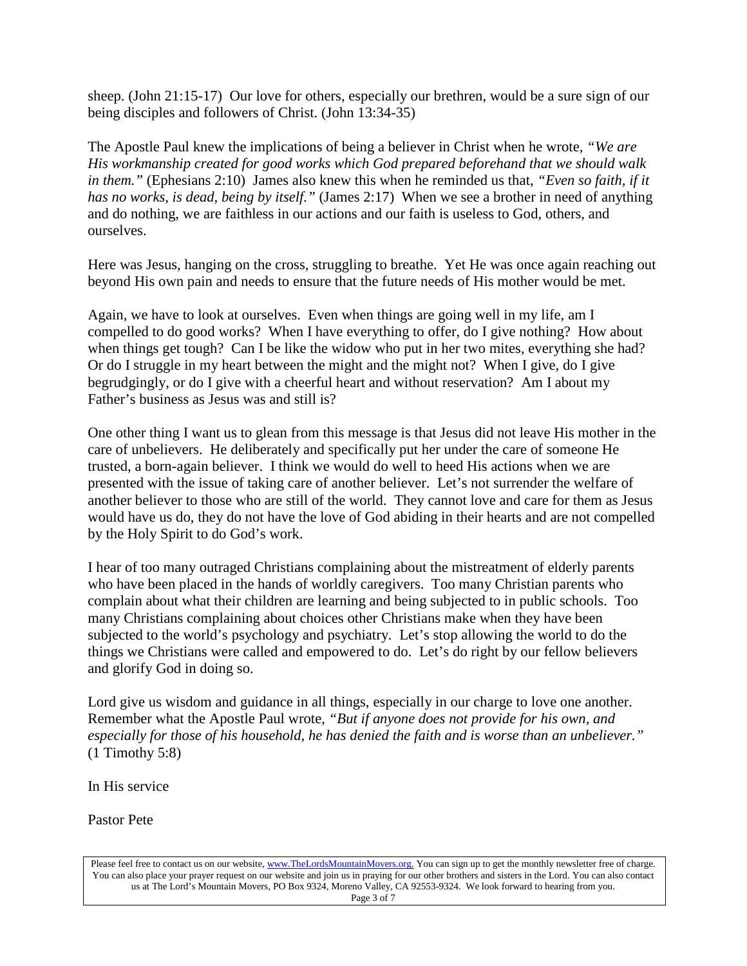sheep. (John 21:15-17) Our love for others, especially our brethren, would be a sure sign of our being disciples and followers of Christ. (John 13:34-35)

The Apostle Paul knew the implications of being a believer in Christ when he wrote, *"We are His workmanship created for good works which God prepared beforehand that we should walk in them."* (Ephesians 2:10) James also knew this when he reminded us that, *"Even so faith, if it has no works, is dead, being by itself."* (James 2:17) When we see a brother in need of anything and do nothing, we are faithless in our actions and our faith is useless to God, others, and ourselves.

Here was Jesus, hanging on the cross, struggling to breathe. Yet He was once again reaching out beyond His own pain and needs to ensure that the future needs of His mother would be met.

Again, we have to look at ourselves. Even when things are going well in my life, am I compelled to do good works? When I have everything to offer, do I give nothing? How about when things get tough? Can I be like the widow who put in her two mites, everything she had? Or do I struggle in my heart between the might and the might not? When I give, do I give begrudgingly, or do I give with a cheerful heart and without reservation? Am I about my Father's business as Jesus was and still is?

One other thing I want us to glean from this message is that Jesus did not leave His mother in the care of unbelievers. He deliberately and specifically put her under the care of someone He trusted, a born-again believer. I think we would do well to heed His actions when we are presented with the issue of taking care of another believer. Let's not surrender the welfare of another believer to those who are still of the world. They cannot love and care for them as Jesus would have us do, they do not have the love of God abiding in their hearts and are not compelled by the Holy Spirit to do God's work.

I hear of too many outraged Christians complaining about the mistreatment of elderly parents who have been placed in the hands of worldly caregivers. Too many Christian parents who complain about what their children are learning and being subjected to in public schools. Too many Christians complaining about choices other Christians make when they have been subjected to the world's psychology and psychiatry. Let's stop allowing the world to do the things we Christians were called and empowered to do. Let's do right by our fellow believers and glorify God in doing so.

Lord give us wisdom and guidance in all things, especially in our charge to love one another. Remember what the Apostle Paul wrote, *"But if anyone does not provide for his own, and especially for those of his household, he has denied the faith and is worse than an unbeliever."*  (1 Timothy 5:8)

In His service

Pastor Pete

Please feel free to contact us on our website, ww[w.TheLordsMountainMovers.o](http://www.thelordsmountainmovers.org/)rg. You can sign up to get the monthly newsletter free of charge. You can also place your prayer request on our website and join us in praying for our other brothers and sisters in the Lord. You can also contact us at The Lord's Mountain Movers, PO Box 9324, Moreno Valley, CA 92553-9324. We look forward to hearing from you. Page 3 of 7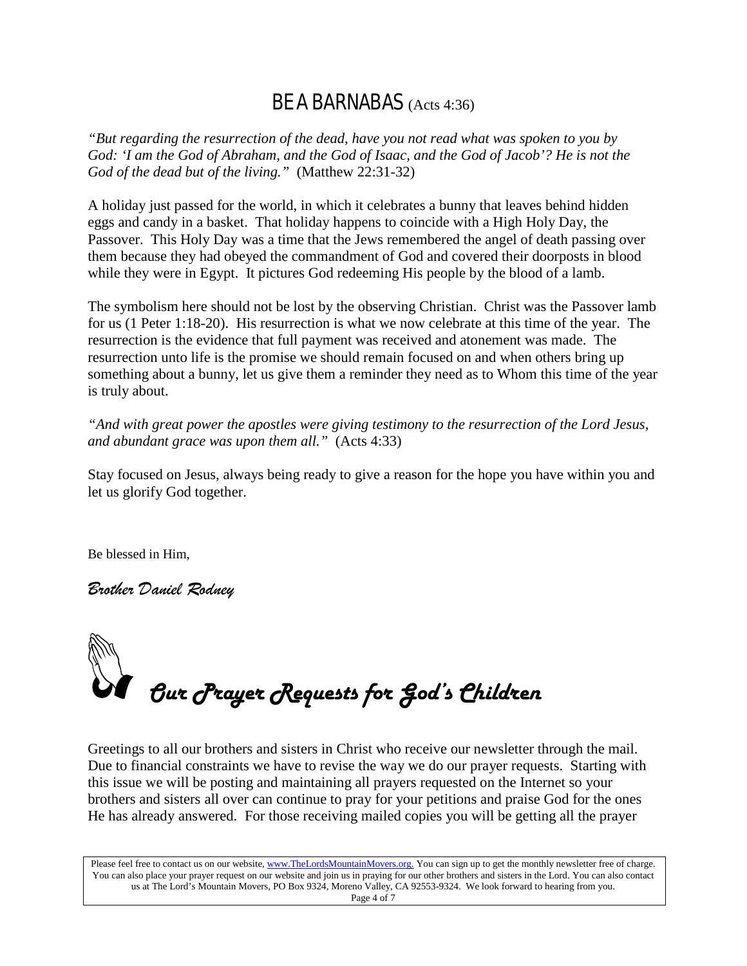### BE A BARNABAS (Acts 4:36)

*"But regarding the resurrection of the dead, have you not read what was spoken to you by God: 'I am the God of Abraham, and the God of Isaac, and the God of Jacob'? He is not the God of the dead but of the living."* (Matthew 22:31-32)

A holiday just passed for the world, in which it celebrates a bunny that leaves behind hidden eggs and candy in a basket. That holiday happens to coincide with a High Holy Day, the Passover. This Holy Day was a time that the Jews remembered the angel of death passing over them because they had obeyed the commandment of God and covered their doorposts in blood while they were in Egypt. It pictures God redeeming His people by the blood of a lamb.

The symbolism here should not be lost by the observing Christian. Christ was the Passover lamb for us (1 Peter 1:18-20). His resurrection is what we now celebrate at this time of the year. The resurrection is the evidence that full payment was received and atonement was made. The resurrection unto life is the promise we should remain focused on and when others bring up something about a bunny, let us give them a reminder they need as to Whom this time of the year is truly about.

*"And with great power the apostles were giving testimony to the resurrection of the Lord Jesus, and abundant grace was upon them all."* (Acts 4:33)

Stay focused on Jesus, always being ready to give a reason for the hope you have within you and let us glorify God together.

Be blessed in Him,

*Brother Daniel Rodney*

 $\int$  Our Jrayer Requests for God's Children

Greetings to all our brothers and sisters in Christ who receive our newsletter through the mail. Due to financial constraints we have to revise the way we do our prayer requests. Starting with this issue we will be posting and maintaining all prayers requested on the Internet so your brothers and sisters all over can continue to pray for your petitions and praise God for the ones He has already answered. For those receiving mailed copies you will be getting all the prayer

Please feel free to contact us on our website, ww[w.TheLordsMountainMovers.o](http://www.thelordsmountainmovers.org/)rg. You can sign up to get the monthly newsletter free of charge. You can also place your prayer request on our website and join us in praying for our other brothers and sisters in the Lord. You can also contact us at The Lord's Mountain Movers, PO Box 9324, Moreno Valley, CA 92553-9324. We look forward to hearing from you. Page 4 of 7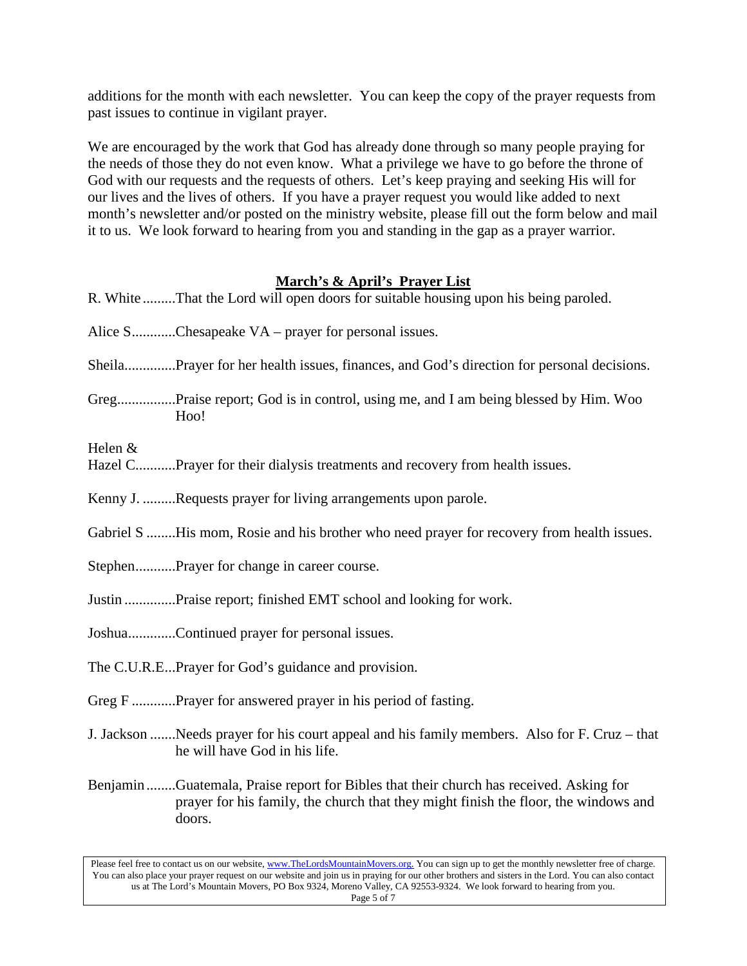additions for the month with each newsletter. You can keep the copy of the prayer requests from past issues to continue in vigilant prayer.

We are encouraged by the work that God has already done through so many people praying for the needs of those they do not even know. What a privilege we have to go before the throne of God with our requests and the requests of others. Let's keep praying and seeking His will for our lives and the lives of others. If you have a prayer request you would like added to next month's newsletter and/or posted on the ministry website, please fill out the form below and mail it to us. We look forward to hearing from you and standing in the gap as a prayer warrior.

#### **March's & April's Prayer List**

|         | R. White That the Lord will open doors for suitable housing upon his being paroled.                                                                                                     |
|---------|-----------------------------------------------------------------------------------------------------------------------------------------------------------------------------------------|
|         | Alice SChesapeake VA – prayer for personal issues.                                                                                                                                      |
|         | SheilaPrayer for her health issues, finances, and God's direction for personal decisions.                                                                                               |
|         | GregPraise report; God is in control, using me, and I am being blessed by Him. Woo<br>Hoo!                                                                                              |
| Helen & | Hazel CPrayer for their dialysis treatments and recovery from health issues.                                                                                                            |
|         | Kenny J. Requests prayer for living arrangements upon parole.                                                                                                                           |
|         | Gabriel S His mom, Rosie and his brother who need prayer for recovery from health issues.                                                                                               |
|         | StephenPrayer for change in career course.                                                                                                                                              |
|         | Justin Praise report; finished EMT school and looking for work.                                                                                                                         |
|         | JoshuaContinued prayer for personal issues.                                                                                                                                             |
|         | The C.U.R.EPrayer for God's guidance and provision.                                                                                                                                     |
|         | Greg F Prayer for answered prayer in his period of fasting.                                                                                                                             |
|         | J. Jackson  Needs prayer for his court appeal and his family members. Also for F. Cruz – that<br>he will have God in his life.                                                          |
|         | BenjaminGuatemala, Praise report for Bibles that their church has received. Asking for<br>prayer for his family, the church that they might finish the floor, the windows and<br>doors. |

Please feel free to contact us on our website, ww[w.TheLordsMountainMovers.o](http://www.thelordsmountainmovers.org/)rg. You can sign up to get the monthly newsletter free of charge. You can also place your prayer request on our website and join us in praying for our other brothers and sisters in the Lord. You can also contact us at The Lord's Mountain Movers, PO Box 9324, Moreno Valley, CA 92553-9324. We look forward to hearing from you. Page 5 of 7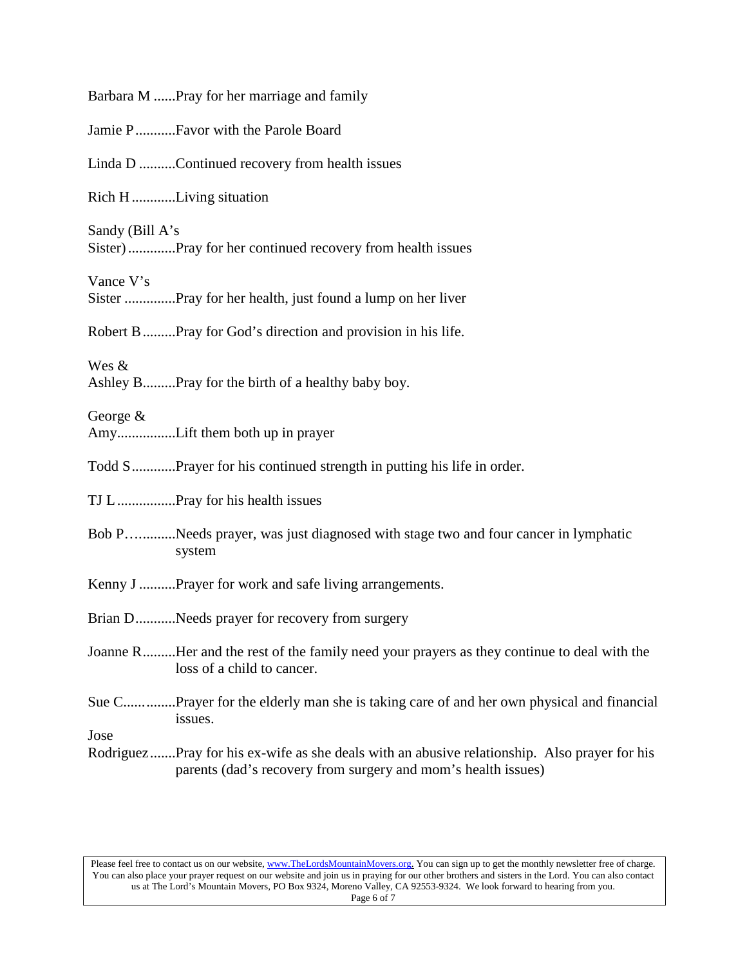|                 | Barbara M Pray for her marriage and family                                                                                                                    |
|-----------------|---------------------------------------------------------------------------------------------------------------------------------------------------------------|
|                 | Jamie PFavor with the Parole Board                                                                                                                            |
|                 | Linda D Continued recovery from health issues                                                                                                                 |
|                 | Rich HLiving situation                                                                                                                                        |
| Sandy (Bill A's | Sister)Pray for her continued recovery from health issues                                                                                                     |
| Vance V's       | Sister Pray for her health, just found a lump on her liver                                                                                                    |
|                 | Robert B Pray for God's direction and provision in his life.                                                                                                  |
| Wes &           | Ashley BPray for the birth of a healthy baby boy.                                                                                                             |
| George $&$      | AmyLift them both up in prayer                                                                                                                                |
|                 | Todd SPrayer for his continued strength in putting his life in order.                                                                                         |
|                 |                                                                                                                                                               |
|                 | Bob PNeeds prayer, was just diagnosed with stage two and four cancer in lymphatic<br>system                                                                   |
|                 | Kenny J Prayer for work and safe living arrangements.                                                                                                         |
|                 | Brian DNeeds prayer for recovery from surgery                                                                                                                 |
|                 | Joanne RHer and the rest of the family need your prayers as they continue to deal with the<br>loss of a child to cancer.                                      |
|                 | Sue CPrayer for the elderly man she is taking care of and her own physical and financial<br>issues.                                                           |
| Jose            | RodriguezPray for his ex-wife as she deals with an abusive relationship. Also prayer for his<br>parents (dad's recovery from surgery and mom's health issues) |

Please feel free to contact us on our website, ww[w.TheLordsMountainMovers.o](http://www.thelordsmountainmovers.org/)rg. You can sign up to get the monthly newsletter free of charge. You can also place your prayer request on our website and join us in praying for our other brothers and sisters in the Lord. You can also contact us at The Lord's Mountain Movers, PO Box 9324, Moreno Valley, CA 92553-9324. We look forward to hearing from you. Page 6 of 7